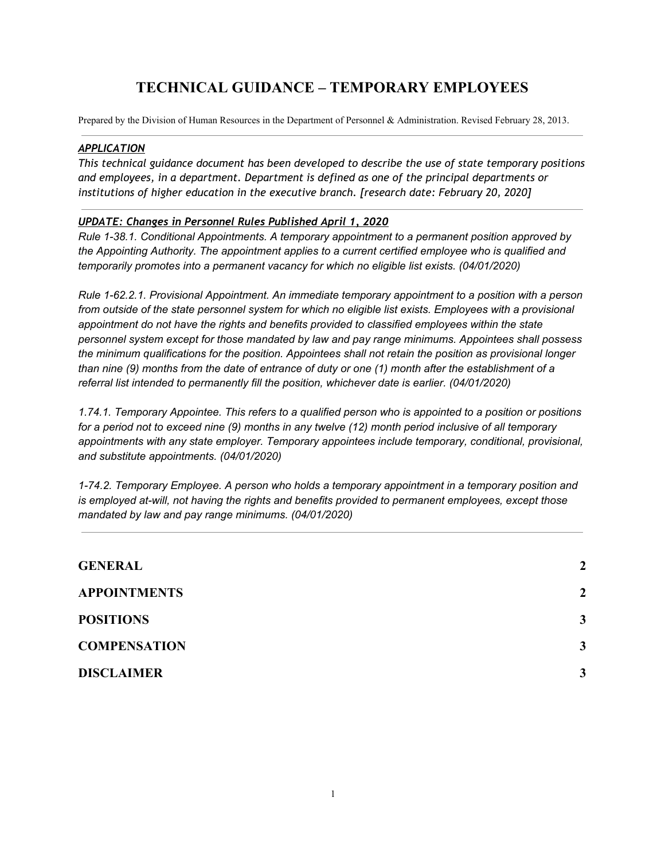# **TECHNICAL GUIDANCE – TEMPORARY EMPLOYEES**

Prepared by the Division of Human Resources in the Department of Personnel & Administration. Revised February 28, 2013.

#### *APPLICATION*

*This technical guidance document has been developed to describe the use of state temporary positions and employees, in a department. Department is defined as one of the principal departments or institutions of higher education in the executive branch. [research date: February 20, 2020]*

#### *UPDATE: Changes in Personnel Rules Published April 1, 2020*

*Rule 1-38.1. Conditional Appointments. A temporary appointment to a permanent position approved by the Appointing Authority. The appointment applies to a current certified employee who is qualified and temporarily promotes into a permanent vacancy for which no eligible list exists. (04/01/2020)*

*Rule 1-62.2.1. Provisional Appointment. An immediate temporary appointment to a position with a person* from outside of the state personnel system for which no eligible list exists. Employees with a provisional *appointment do not have the rights and benefits provided to classified employees within the state personnel system except for those mandated by law and pay range minimums. Appointees shall possess the minimum qualifications for the position. Appointees shall not retain the position as provisional longer* than nine (9) months from the date of entrance of duty or one (1) month after the establishment of a *referral list intended to permanently fill the position, whichever date is earlier. (04/01/2020)*

1.74.1. Temporary Appointee. This refers to a qualified person who is appointed to a position or positions for a period not to exceed nine (9) months in any twelve (12) month period inclusive of all temporary *appointments with any state employer. Temporary appointees include temporary, conditional, provisional, and substitute appointments. (04/01/2020)*

*1-74.2. Temporary Employee. A person who holds a temporary appointment in a temporary position and is employed at-will, not having the rights and benefits provided to permanent employees, except those mandated by law and pay range minimums. (04/01/2020)*

| $\boldsymbol{2}$ |
|------------------|
| $\overline{2}$   |
| 3                |
| $\mathbf{3}$     |
| $\mathbf{3}$     |
|                  |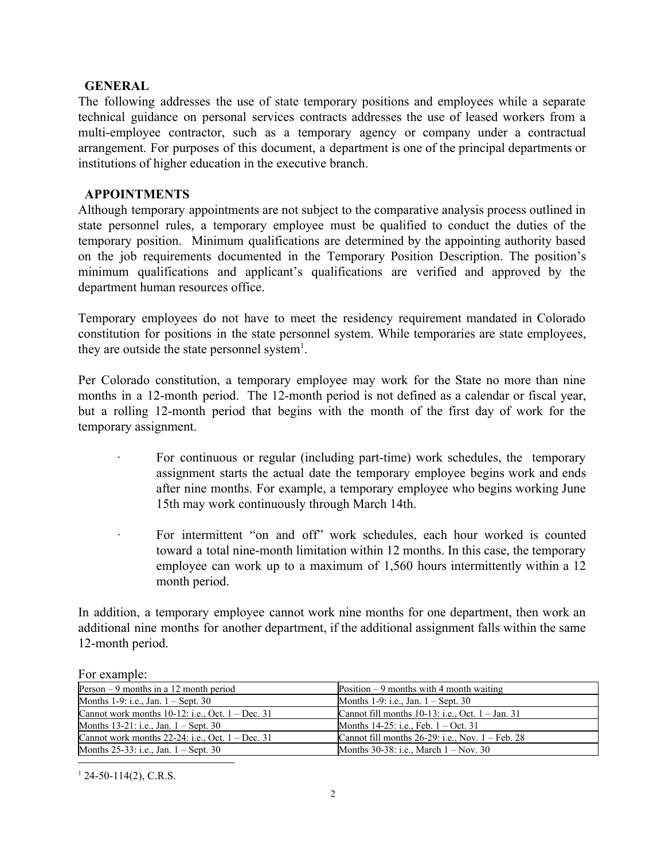#### <span id="page-1-0"></span>**GENERAL**

The following addresses the use of state temporary positions and employees while a separate technical guidance on personal services contracts addresses the use of leased workers from a multi-employee contractor, such as a temporary agency or company under a contractual arrangement. For purposes of this document, a department is one of the principal departments or institutions of higher education in the executive branch.

#### <span id="page-1-1"></span>**APPOINTMENTS**

Although temporary appointments are not subject to the comparative analysis process outlined in state personnel rules, a temporary employee must be qualified to conduct the duties of the temporary position. Minimum qualifications are determined by the appointing authority based on the job requirements documented in the Temporary Position Description. The position's minimum qualifications and applicant's qualifications are verified and approved by the department human resources office.

Temporary employees do not have to meet the residency requirement mandated in Colorado constitution for positions in the state personnel system. While temporaries are state employees, they are outside the state personnel system<sup>1</sup>.

Per Colorado constitution, a temporary employee may work for the State no more than nine months in a 12-month period. The 12-month period is not defined as a calendar or fiscal year, but a rolling 12-month period that begins with the month of the first day of work for the temporary assignment.

- For continuous or regular (including part-time) work schedules, the temporary assignment starts the actual date the temporary employee begins work and ends after nine months. For example, a temporary employee who begins working June 15th may work continuously through March 14th.
- For intermittent "on and off" work schedules, each hour worked is counted toward a total nine-month limitation within 12 months. In this case, the temporary employee can work up to a maximum of 1,560 hours intermittently within a 12 month period.

In addition, a temporary employee cannot work nine months for one department, then work an additional nine months for another department, if the additional assignment falls within the same 12-month period.

| I OI VILUILIDIV.                                      |                                                               |
|-------------------------------------------------------|---------------------------------------------------------------|
| Person $-9$ months in a 12 month period               | Position $-9$ months with 4 month waiting                     |
| Months 1-9: i.e., Jan. $1 -$ Sept. 30                 | Months 1-9: i.e., Jan. $1 -$ Sept. 30                         |
| Cannot work months $10-12$ : i.e., Oct. $1 - Dec. 31$ | Cannot fill months $10-13$ : i.e., Oct. $1 - Jan$ . 31        |
| Months $13-21$ : i.e., Jan. $1 -$ Sept. 30            | Months $14-25$ : i.e., Feb. $1 - Oct. 31$                     |
| Cannot work months $22-24$ : i.e., Oct. $1 - Dec. 31$ | Cannot fill months $26-29$ : i.e., Nov. $1 - \text{Feb. } 28$ |
| Months $25-33$ : i.e., Jan. $1 -$ Sept. 30            | Months $30-38$ : i.e., March $1 - Now$ . 30                   |
|                                                       |                                                               |

For example:

 $124-50-114(2)$ , C.R.S.